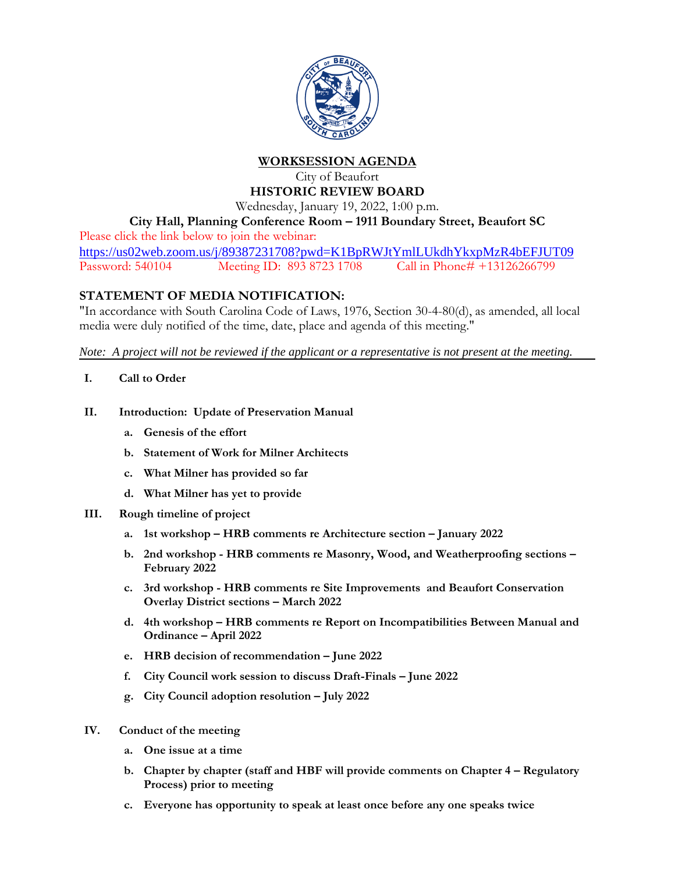

**WORKSESSION AGENDA**

## City of Beaufort **HISTORIC REVIEW BOARD**

Wednesday, January 19, 2022, 1:00 p.m.

**City Hall, Planning Conference Room – 1911 Boundary Street, Beaufort SC**

Please click the link below to join the webinar: <https://us02web.zoom.us/j/89387231708?pwd=K1BpRWJtYmlLUkdhYkxpMzR4bEFJUT09>

Password: 540104 Meeting ID: 893 8723 1708 Call in Phone# +13126266799

## **STATEMENT OF MEDIA NOTIFICATION:**

"In accordance with South Carolina Code of Laws, 1976, Section 30-4-80(d), as amended, all local media were duly notified of the time, date, place and agenda of this meeting."

*Note: A project will not be reviewed if the applicant or a representative is not present at the meeting.*

- **I. Call to Order**
- **II. Introduction: Update of Preservation Manual**
	- **a. Genesis of the effort**
	- **b. Statement of Work for Milner Architects**
	- **c. What Milner has provided so far**
	- **d. What Milner has yet to provide**
- **III. Rough timeline of project**
	- **a. 1st workshop – HRB comments re Architecture section – January 2022**
	- **b. 2nd workshop - HRB comments re Masonry, Wood, and Weatherproofing sections – February 2022**
	- **c. 3rd workshop - HRB comments re Site Improvements and Beaufort Conservation Overlay District sections – March 2022**
	- **d. 4th workshop – HRB comments re Report on Incompatibilities Between Manual and Ordinance – April 2022**
	- **e. HRB decision of recommendation – June 2022**
	- **f. City Council work session to discuss Draft-Finals – June 2022**
	- **g. City Council adoption resolution – July 2022**
- **IV. Conduct of the meeting**
	- **a. One issue at a time**
	- **b. Chapter by chapter (staff and HBF will provide comments on Chapter 4 – Regulatory Process) prior to meeting**
	- **c. Everyone has opportunity to speak at least once before any one speaks twice**